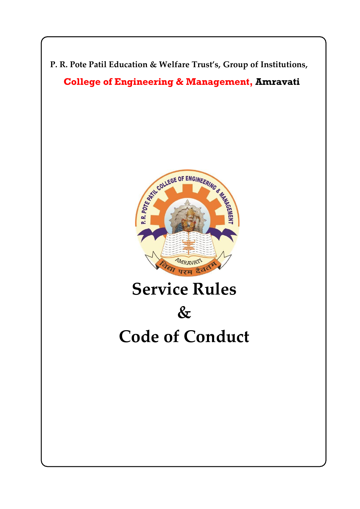



# **Service Rules**

# **&**

## **Code of Conduct**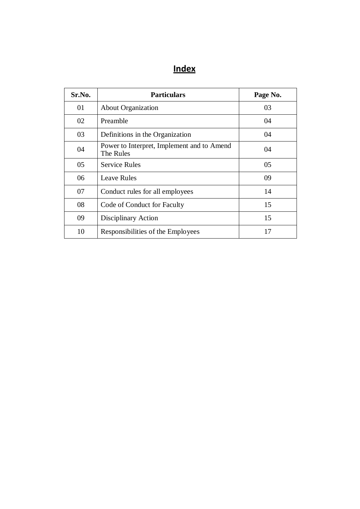## **Index**

| Sr.No. | <b>Particulars</b>                                      | Page No. |
|--------|---------------------------------------------------------|----------|
| 01     | <b>About Organization</b>                               | 03       |
| 02     | Preamble                                                | 04       |
| 03     | Definitions in the Organization                         | 04       |
| 04     | Power to Interpret, Implement and to Amend<br>The Rules | 04       |
| 05     | <b>Service Rules</b>                                    | 05       |
| 06     | <b>Leave Rules</b>                                      | 09       |
| 07     | Conduct rules for all employees                         | 14       |
| 08     | Code of Conduct for Faculty                             | 15       |
| 09     | Disciplinary Action                                     | 15       |
| 10     | Responsibilities of the Employees                       | 17       |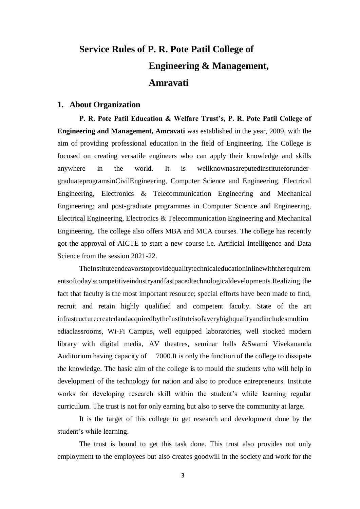## **Service Rules of P. R. Pote Patil College of Engineering & Management, Amravati**

#### **1. About Organization**

**P. R. Pote Patil Education & Welfare Trust's, P. R. Pote Patil College of Engineering and Management, Amravati** was established in the year, 2009, with the aim of providing professional education in the field of Engineering. The College is focused on creating versatile engineers who can apply their knowledge and skills anywhere in the world. It is wellknownasareputedinstituteforundergraduateprogramsinCivilEngineering, Computer Science and Engineering, Electrical Engineering, Electronics & Telecommunication Engineering and Mechanical Engineering; and post-graduate programmes in Computer Science and Engineering, Electrical Engineering, Electronics & Telecommunication Engineering and Mechanical Engineering. The college also offers MBA and MCA courses. The college has recently got the approval of AICTE to start a new course i.e. Artificial Intelligence and Data Science from the session 2021-22.

TheInstituteendeavorstoprovidequalitytechnicaleducationinlinewiththerequirem entsoftoday'scompetitiveindustryandfastpacedtechnologicaldevelopments.Realizing the fact that faculty is the most important resource; special efforts have been made to find, recruit and retain highly qualified and competent faculty. State of the art infrastructurecreatedandacquiredbytheInstituteisofaveryhighqualityandincludesmultim ediaclassrooms, Wi-Fi Campus, well equipped laboratories, well stocked modern library with digital media, AV theatres, seminar halls &Swami Vivekananda Auditorium having capacity of 7000.It is only the function of the college to dissipate the knowledge. The basic aim of the college is to mould the students who will help in development of the technology for nation and also to produce entrepreneurs. Institute works for developing research skill within the student's while learning regular curriculum. The trust is not for only earning but also to serve the community at large.

It is the target of this college to get research and development done by the student's while learning.

The trust is bound to get this task done. This trust also provides not only employment to the employees but also creates goodwill in the society and work for the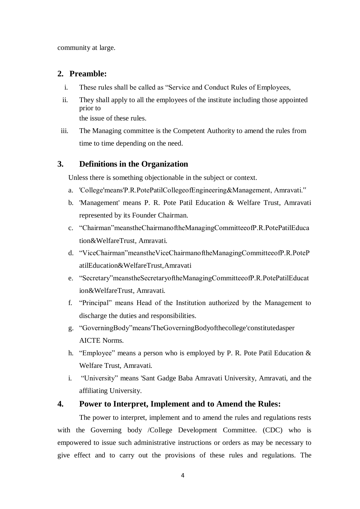community at large.

#### **2. Preamble:**

- i. These rules shall be called as "Service and Conduct Rules of Employees,
- ii. They shall apply to all the employees of the institute including those appointed prior to the issue of these rules.
- iii. The Managing committee is the Competent Authority to amend the rules from time to time depending on the need.

#### **3. Definitions in the Organization**

Unless there is something objectionable in the subject or context.

- a. 'College'means'P.R.PotePatilCollegeofEngineering&Management, Amravati."
- b. 'Management' means P. R. Pote Patil Education & Welfare Trust, Amravati represented by its Founder Chairman.
- c. "Chairman"meanstheChairmanoftheManagingCommitteeofP.R.PotePatilEduca tion&WelfareTrust, Amravati.
- d. "ViceChairman"meanstheViceChairmanoftheManagingCommitteeofP.R.PoteP atilEducation&WelfareTrust,Amravati
- e. "Secretary"meanstheSecretaryoftheManagingCommitteeofP.R.PotePatilEducat ion&WelfareTrust, Amravati.
- f. "Principal" means Head of the Institution authorized by the Management to discharge the duties and responsibilities.
- g. "GoverningBody"means'TheGoverningBodyofthecollege'constitutedasper AICTE Norms.
- h. "Employee" means a person who is employed by P. R. Pote Patil Education & Welfare Trust, Amravati.
- i. "University" means 'Sant Gadge Baba Amravati University, Amravati, and the affiliating University.

#### **4. Power to Interpret, Implement and to Amend the Rules:**

The power to interpret, implement and to amend the rules and regulations rests with the Governing body /College Development Committee. (CDC) who is empowered to issue such administrative instructions or orders as may be necessary to give effect and to carry out the provisions of these rules and regulations. The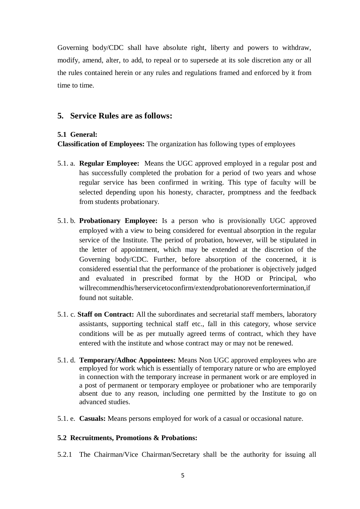Governing body/CDC shall have absolute right, liberty and powers to withdraw, modify, amend, alter, to add, to repeal or to supersede at its sole discretion any or all the rules contained herein or any rules and regulations framed and enforced by it from time to time.

#### **5. Service Rules are as follows:**

#### **5.1 General:**

**Classification of Employees:** The organization has following types of employees

- 5.1. a. **Regular Employee:** Means the UGC approved employed in a regular post and has successfully completed the probation for a period of two years and whose regular service has been confirmed in writing. This type of faculty will be selected depending upon his honesty, character, promptness and the feedback from students probationary.
- 5.1. b. **Probationary Employee:** Is a person who is provisionally UGC approved employed with a view to being considered for eventual absorption in the regular service of the Institute. The period of probation, however, will be stipulated in the letter of appointment, which may be extended at the discretion of the Governing body/CDC. Further, before absorption of the concerned, it is considered essential that the performance of the probationer is objectively judged and evaluated in prescribed format by the HOD or Principal, who willrecommendhis/herservicetoconfirm/extendprobationorevenfortermination,if found not suitable.
- 5.1. c. **Staff on Contract:** All the subordinates and secretarial staff members, laboratory assistants, supporting technical staff etc., fall in this category, whose service conditions will be as per mutually agreed terms of contract, which they have entered with the institute and whose contract may or may not be renewed.
- 5.1. d. **Temporary/Adhoc Appointees:** Means Non UGC approved employees who are employed for work which is essentially of temporary nature or who are employed in connection with the temporary increase in permanent work or are employed in a post of permanent or temporary employee or probationer who are temporarily absent due to any reason, including one permitted by the Institute to go on advanced studies.
- 5.1. e. **Casuals:** Means persons employed for work of a casual or occasional nature.

#### **5.2 Recruitments, Promotions & Probations:**

5.2.1 The Chairman/Vice Chairman/Secretary shall be the authority for issuing all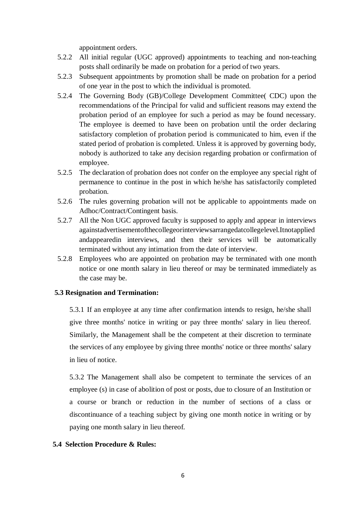appointment orders.

- 5.2.2 All initial regular (UGC approved) appointments to teaching and non-teaching posts shall ordinarily be made on probation for a period of two years.
- 5.2.3 Subsequent appointments by promotion shall be made on probation for a period of one year in the post to which the individual is promoted.
- 5.2.4 The Governing Body (GB)/College Development Committee( CDC) upon the recommendations of the Principal for valid and sufficient reasons may extend the probation period of an employee for such a period as may be found necessary. The employee is deemed to have been on probation until the order declaring satisfactory completion of probation period is communicated to him, even if the stated period of probation is completed. Unless it is approved by governing body, nobody is authorized to take any decision regarding probation or confirmation of employee.
- 5.2.5 The declaration of probation does not confer on the employee any special right of permanence to continue in the post in which he/she has satisfactorily completed probation.
- 5.2.6 The rules governing probation will not be applicable to appointments made on Adhoc/Contract/Contingent basis.
- 5.2.7 All the Non UGC approved faculty is supposed to apply and appear in interviews againstadvertisementofthecollegeorinterviewsarrangedatcollegelevel.Itnotapplied andappearedin interviews, and then their services will be automatically terminated without any intimation from the date of interview.
- 5.2.8 Employees who are appointed on probation may be terminated with one month notice or one month salary in lieu thereof or may be terminated immediately as the case may be.

#### **5.3 Resignation and Termination:**

5.3.1 If an employee at any time after confirmation intends to resign, he/she shall give three months' notice in writing or pay three months' salary in lieu thereof. Similarly, the Management shall be the competent at their discretion to terminate the services of any employee by giving three months' notice or three months' salary in lieu of notice.

5.3.2 The Management shall also be competent to terminate the services of an employee (s) in case of abolition of post or posts, due to closure of an Institution or a course or branch or reduction in the number of sections of a class or discontinuance of a teaching subject by giving one month notice in writing or by paying one month salary in lieu thereof.

#### **5.4 Selection Procedure & Rules:**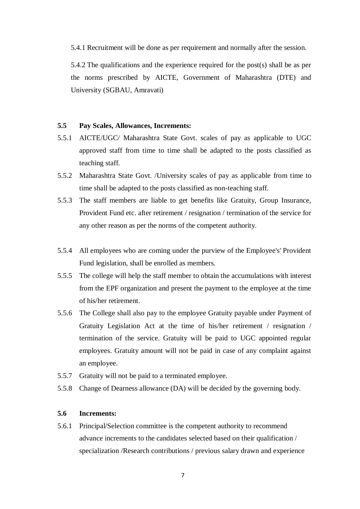5.4.1 Recruitment will be done as per requirement and normally after the session.

5.4.2 The qualifications and the experience required for the post(s) shall be as per the norms prescribed by AICTE, Government of Maharashtra (DTE) and University (SGBAU, Amravati)

#### **5.5 Pay Scales, Allowances, Increments:**

- 5.5.1 AICTE/UGC/ Maharashtra State Govt. scales of pay as applicable to UGC approved staff from time to time shall be adapted to the posts classified as teaching staff.
- 5.5.2 Maharashtra State Govt. /University scales of pay as applicable from time to time shall be adapted to the posts classified as non-teaching staff.
- 5.5.3 The staff members are liable to get benefits like Gratuity, Group Insurance, Provident Fund etc. after retirement / resignation / termination of the service for any other reason as per the norms of the competent authority.
- 5.5.4 All employees who are coming under the purview of the Employee's' Provident Fund legislation, shall be enrolled as members.
- 5.5.5 The college will help the staff member to obtain the accumulations with interest from the EPF organization and present the payment to the employee at the time of his/her retirement.
- 5.5.6 The College shall also pay to the employee Gratuity payable under Payment of Gratuity Legislation Act at the time of his/her retirement / resignation / termination of the service. Gratuity will be paid to UGC appointed regular employees. Gratuity amount will not be paid in case of any complaint against an employee.
- 5.5.7 Gratuity will not be paid to a terminated employee.
- 5.5.8 Change of Dearness allowance (DA) will be decided by the governing body.

#### **5.6 Increments:**

5.6.1 Principal/Selection committee is the competent authority to recommend advance increments to the candidates selected based on their qualification / specialization /Research contributions / previous salary drawn and experience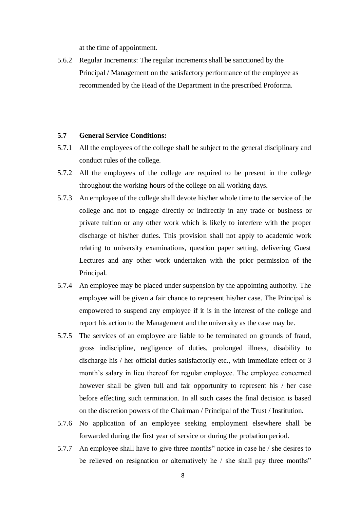at the time of appointment.

5.6.2 Regular Increments: The regular increments shall be sanctioned by the Principal / Management on the satisfactory performance of the employee as recommended by the Head of the Department in the prescribed Proforma.

#### **5.7 General Service Conditions:**

- 5.7.1 All the employees of the college shall be subject to the general disciplinary and conduct rules of the college.
- 5.7.2 All the employees of the college are required to be present in the college throughout the working hours of the college on all working days.
- 5.7.3 An employee of the college shall devote his/her whole time to the service of the college and not to engage directly or indirectly in any trade or business or private tuition or any other work which is likely to interfere with the proper discharge of his/her duties. This provision shall not apply to academic work relating to university examinations, question paper setting, delivering Guest Lectures and any other work undertaken with the prior permission of the Principal.
- 5.7.4 An employee may be placed under suspension by the appointing authority. The employee will be given a fair chance to represent his/her case. The Principal is empowered to suspend any employee if it is in the interest of the college and report his action to the Management and the university as the case may be.
- 5.7.5 The services of an employee are liable to be terminated on grounds of fraud, gross indiscipline, negligence of duties, prolonged illness, disability to discharge his / her official duties satisfactorily etc., with immediate effect or 3 month's salary in lieu thereof for regular employee. The employee concerned however shall be given full and fair opportunity to represent his / her case before effecting such termination. In all such cases the final decision is based on the discretion powers of the Chairman / Principal of the Trust / Institution.
- 5.7.6 No application of an employee seeking employment elsewhere shall be forwarded during the first year of service or during the probation period.
- 5.7.7 An employee shall have to give three months" notice in case he / she desires to be relieved on resignation or alternatively he / she shall pay three months"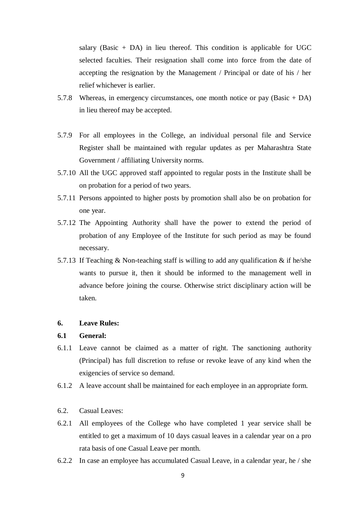salary (Basic  $+$  DA) in lieu thereof. This condition is applicable for UGC selected faculties. Their resignation shall come into force from the date of accepting the resignation by the Management / Principal or date of his / her relief whichever is earlier.

- 5.7.8 Whereas, in emergency circumstances, one month notice or pay (Basic + DA) in lieu thereof may be accepted.
- 5.7.9 For all employees in the College, an individual personal file and Service Register shall be maintained with regular updates as per Maharashtra State Government / affiliating University norms.
- 5.7.10 All the UGC approved staff appointed to regular posts in the Institute shall be on probation for a period of two years.
- 5.7.11 Persons appointed to higher posts by promotion shall also be on probation for one year.
- 5.7.12 The Appointing Authority shall have the power to extend the period of probation of any Employee of the Institute for such period as may be found necessary.
- 5.7.13 If Teaching  $& Non-teaching staff is willing to add any qualification & if he/she$ wants to pursue it, then it should be informed to the management well in advance before joining the course. Otherwise strict disciplinary action will be taken.

#### **6. Leave Rules:**

#### **6.1 General:**

- 6.1.1 Leave cannot be claimed as a matter of right. The sanctioning authority (Principal) has full discretion to refuse or revoke leave of any kind when the exigencies of service so demand.
- 6.1.2 A leave account shall be maintained for each employee in an appropriate form.
- 6.2. Casual Leaves:
- 6.2.1 All employees of the College who have completed 1 year service shall be entitled to get a maximum of 10 days casual leaves in a calendar year on a pro rata basis of one Casual Leave per month.
- 6.2.2 In case an employee has accumulated Casual Leave, in a calendar year, he / she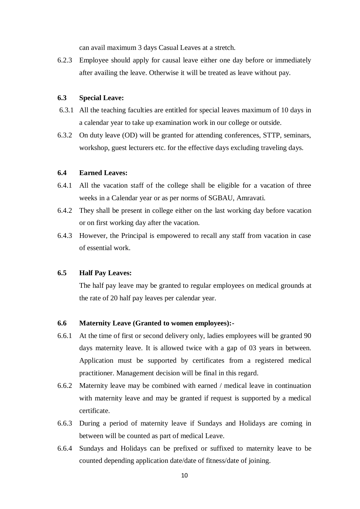can avail maximum 3 days Casual Leaves at a stretch.

6.2.3 Employee should apply for causal leave either one day before or immediately after availing the leave. Otherwise it will be treated as leave without pay.

#### **6.3 Special Leave:**

- 6.3.1 All the teaching faculties are entitled for special leaves maximum of 10 days in a calendar year to take up examination work in our college or outside.
- 6.3.2 On duty leave (OD) will be granted for attending conferences, STTP, seminars, workshop, guest lecturers etc. for the effective days excluding traveling days.

#### **6.4 Earned Leaves:**

- 6.4.1 All the vacation staff of the college shall be eligible for a vacation of three weeks in a Calendar year or as per norms of SGBAU, Amravati.
- 6.4.2 They shall be present in college either on the last working day before vacation or on first working day after the vacation.
- 6.4.3 However, the Principal is empowered to recall any staff from vacation in case of essential work.

#### **6.5 Half Pay Leaves:**

The half pay leave may be granted to regular employees on medical grounds at the rate of 20 half pay leaves per calendar year.

#### **6.6 Maternity Leave (Granted to women employees):-**

- 6.6.1 At the time of first or second delivery only, ladies employees will be granted 90 days maternity leave. It is allowed twice with a gap of 03 years in between. Application must be supported by certificates from a registered medical practitioner. Management decision will be final in this regard.
- 6.6.2 Maternity leave may be combined with earned / medical leave in continuation with maternity leave and may be granted if request is supported by a medical certificate.
- 6.6.3 During a period of maternity leave if Sundays and Holidays are coming in between will be counted as part of medical Leave.
- 6.6.4 Sundays and Holidays can be prefixed or suffixed to maternity leave to be counted depending application date/date of fitness/date of joining.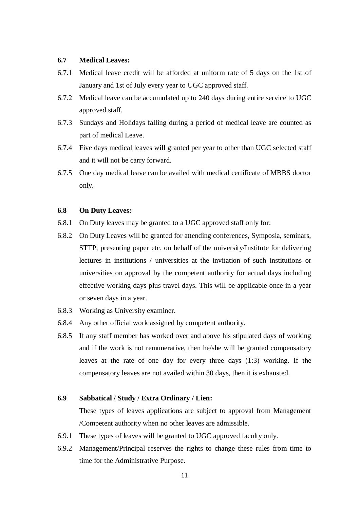#### **6.7 Medical Leaves:**

- 6.7.1 Medical leave credit will be afforded at uniform rate of 5 days on the 1st of January and 1st of July every year to UGC approved staff.
- 6.7.2 Medical leave can be accumulated up to 240 days during entire service to UGC approved staff.
- 6.7.3 Sundays and Holidays falling during a period of medical leave are counted as part of medical Leave.
- 6.7.4 Five days medical leaves will granted per year to other than UGC selected staff and it will not be carry forward.
- 6.7.5 One day medical leave can be availed with medical certificate of MBBS doctor only.

#### **6.8 On Duty Leaves:**

- 6.8.1 On Duty leaves may be granted to a UGC approved staff only for:
- 6.8.2 On Duty Leaves will be granted for attending conferences, Symposia, seminars, STTP, presenting paper etc. on behalf of the university/Institute for delivering lectures in institutions / universities at the invitation of such institutions or universities on approval by the competent authority for actual days including effective working days plus travel days. This will be applicable once in a year or seven days in a year.
- 6.8.3 Working as University examiner.
- 6.8.4 Any other official work assigned by competent authority.
- 6.8.5 If any staff member has worked over and above his stipulated days of working and if the work is not remunerative, then he/she will be granted compensatory leaves at the rate of one day for every three days (1:3) working. If the compensatory leaves are not availed within 30 days, then it is exhausted.

#### **6.9 Sabbatical / Study / Extra Ordinary / Lien:**

These types of leaves applications are subject to approval from Management /Competent authority when no other leaves are admissible.

- 6.9.1 These types of leaves will be granted to UGC approved faculty only.
- 6.9.2 Management/Principal reserves the rights to change these rules from time to time for the Administrative Purpose.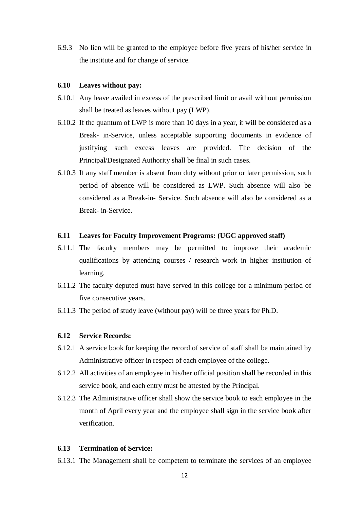6.9.3 No lien will be granted to the employee before five years of his/her service in the institute and for change of service.

#### **6.10 Leaves without pay:**

- 6.10.1 Any leave availed in excess of the prescribed limit or avail without permission shall be treated as leaves without pay (LWP).
- 6.10.2 If the quantum of LWP is more than 10 days in a year, it will be considered as a Break- in-Service, unless acceptable supporting documents in evidence of justifying such excess leaves are provided. The decision of the Principal/Designated Authority shall be final in such cases.
- 6.10.3 If any staff member is absent from duty without prior or later permission, such period of absence will be considered as LWP. Such absence will also be considered as a Break-in- Service. Such absence will also be considered as a Break- in-Service.

#### **6.11 Leaves for Faculty Improvement Programs: (UGC approved staff)**

- 6.11.1 The faculty members may be permitted to improve their academic qualifications by attending courses / research work in higher institution of learning.
- 6.11.2 The faculty deputed must have served in this college for a minimum period of five consecutive years.
- 6.11.3 The period of study leave (without pay) will be three years for Ph.D.

#### **6.12 Service Records:**

- 6.12.1 A service book for keeping the record of service of staff shall be maintained by Administrative officer in respect of each employee of the college.
- 6.12.2 All activities of an employee in his/her official position shall be recorded in this service book, and each entry must be attested by the Principal.
- 6.12.3 The Administrative officer shall show the service book to each employee in the month of April every year and the employee shall sign in the service book after verification.

#### **6.13 Termination of Service:**

6.13.1 The Management shall be competent to terminate the services of an employee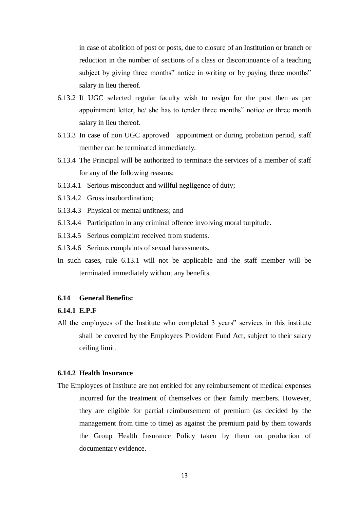in case of abolition of post or posts, due to closure of an Institution or branch or reduction in the number of sections of a class or discontinuance of a teaching subject by giving three months" notice in writing or by paying three months" salary in lieu thereof.

- 6.13.2 If UGC selected regular faculty wish to resign for the post then as per appointment letter, he/ she has to tender three months" notice or three month salary in lieu thereof.
- 6.13.3 In case of non UGC approved appointment or during probation period, staff member can be terminated immediately.
- 6.13.4 The Principal will be authorized to terminate the services of a member of staff for any of the following reasons:
- 6.13.4.1 Serious misconduct and willful negligence of duty;
- 6.13.4.2 Gross insubordination;
- 6.13.4.3 Physical or mental unfitness; and
- 6.13.4.4 Participation in any criminal offence involving moral turpitude.
- 6.13.4.5 Serious complaint received from students.
- 6.13.4.6 Serious complaints of sexual harassments.
- In such cases, rule 6.13.1 will not be applicable and the staff member will be terminated immediately without any benefits.

#### **6.14 General Benefits:**

#### **6.14.1 E.P.F**

All the employees of the Institute who completed 3 years" services in this institute shall be covered by the Employees Provident Fund Act, subject to their salary ceiling limit.

#### **6.14.2 Health Insurance**

The Employees of Institute are not entitled for any reimbursement of medical expenses incurred for the treatment of themselves or their family members. However, they are eligible for partial reimbursement of premium (as decided by the management from time to time) as against the premium paid by them towards the Group Health Insurance Policy taken by them on production of documentary evidence.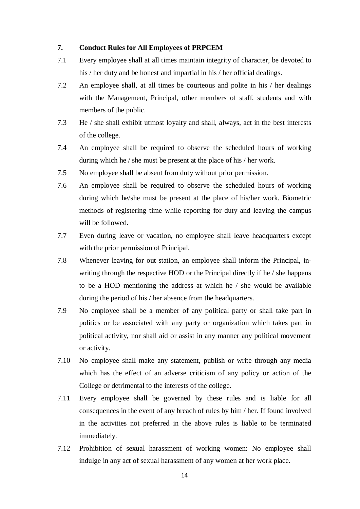#### **7. Conduct Rules for All Employees of PRPCEM**

- 7.1 Every employee shall at all times maintain integrity of character, be devoted to his / her duty and be honest and impartial in his / her official dealings.
- 7.2 An employee shall, at all times be courteous and polite in his / her dealings with the Management, Principal, other members of staff, students and with members of the public.
- 7.3 He / she shall exhibit utmost loyalty and shall, always, act in the best interests of the college.
- 7.4 An employee shall be required to observe the scheduled hours of working during which he / she must be present at the place of his / her work.
- 7.5 No employee shall be absent from duty without prior permission.
- 7.6 An employee shall be required to observe the scheduled hours of working during which he/she must be present at the place of his/her work. Biometric methods of registering time while reporting for duty and leaving the campus will be followed.
- 7.7 Even during leave or vacation, no employee shall leave headquarters except with the prior permission of Principal.
- 7.8 Whenever leaving for out station, an employee shall inform the Principal, inwriting through the respective HOD or the Principal directly if he / she happens to be a HOD mentioning the address at which he / she would be available during the period of his / her absence from the headquarters.
- 7.9 No employee shall be a member of any political party or shall take part in politics or be associated with any party or organization which takes part in political activity, nor shall aid or assist in any manner any political movement or activity.
- 7.10 No employee shall make any statement, publish or write through any media which has the effect of an adverse criticism of any policy or action of the College or detrimental to the interests of the college.
- 7.11 Every employee shall be governed by these rules and is liable for all consequences in the event of any breach of rules by him / her. If found involved in the activities not preferred in the above rules is liable to be terminated immediately.
- 7.12 Prohibition of sexual harassment of working women: No employee shall indulge in any act of sexual harassment of any women at her work place.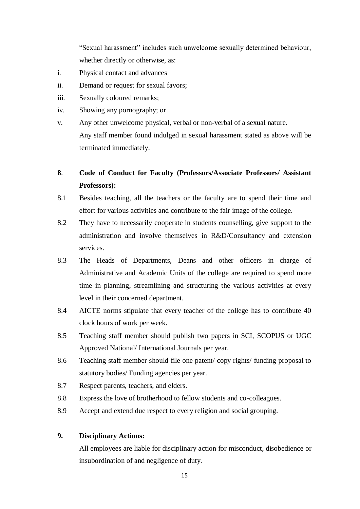"Sexual harassment" includes such unwelcome sexually determined behaviour, whether directly or otherwise, as:

- i. Physical contact and advances
- ii. Demand or request for sexual favors;
- iii. Sexually coloured remarks;
- iv. Showing any pornography; or
- v. Any other unwelcome physical, verbal or non-verbal of a sexual nature. Any staff member found indulged in sexual harassment stated as above will be terminated immediately.

### **8**. **Code of Conduct for Faculty (Professors/Associate Professors/ Assistant Professors):**

- 8.1 Besides teaching, all the teachers or the faculty are to spend their time and effort for various activities and contribute to the fair image of the college.
- 8.2 They have to necessarily cooperate in students counselling, give support to the administration and involve themselves in R&D/Consultancy and extension services.
- 8.3 The Heads of Departments, Deans and other officers in charge of Administrative and Academic Units of the college are required to spend more time in planning, streamlining and structuring the various activities at every level in their concerned department.
- 8.4 AICTE norms stipulate that every teacher of the college has to contribute 40 clock hours of work per week.
- 8.5 Teaching staff member should publish two papers in SCI, SCOPUS or UGC Approved National/ International Journals per year.
- 8.6 Teaching staff member should file one patent/ copy rights/ funding proposal to statutory bodies/ Funding agencies per year.
- 8.7 Respect parents, teachers, and elders.
- 8.8 Express the love of brotherhood to fellow students and co-colleagues.
- 8.9 Accept and extend due respect to every religion and social grouping.

#### **9. Disciplinary Actions:**

All employees are liable for disciplinary action for misconduct, disobedience or insubordination of and negligence of duty.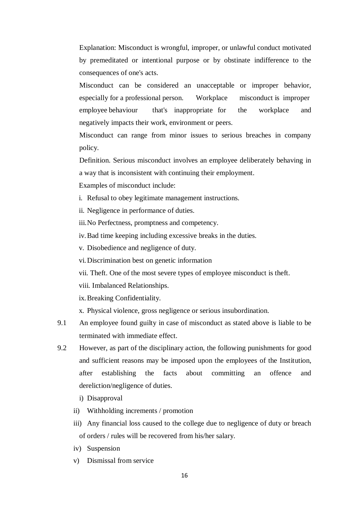Explanation: Misconduct is wrongful, improper, or unlawful conduct motivated by premeditated or intentional purpose or by obstinate indifference to the consequences of one's acts.

Misconduct can be considered an unacceptable or improper behavior, especially for a professional person. Workplace misconduct is improper employee behaviour that's inappropriate for the workplace and negatively impacts their work, environment or peers.

Misconduct can range from minor issues to serious breaches in company policy.

Definition. Serious misconduct involves an employee deliberately behaving in a way that is inconsistent with continuing their employment.

Examples of misconduct include:

- i. Refusal to obey legitimate management instructions.
- ii. Negligence in performance of duties.

iii.No Perfectness, promptness and competency.

iv.Bad time keeping including excessive breaks in the duties.

v. Disobedience and negligence of duty.

vi.Discrimination best on genetic information

vii. Theft. One of the most severe types of employee misconduct is theft.

viii. Imbalanced Relationships.

ix.Breaking Confidentiality.

x. Physical violence, gross negligence or serious insubordination.

- 9.1 An employee found guilty in case of misconduct as stated above is liable to be terminated with immediate effect.
- 9.2 However, as part of the disciplinary action, the following punishments for good and sufficient reasons may be imposed upon the employees of the Institution, after establishing the facts about committing an offence and dereliction/negligence of duties.
	- i) Disapproval
	- ii) Withholding increments / promotion
	- iii) Any financial loss caused to the college due to negligence of duty or breach of orders / rules will be recovered from his/her salary.
	- iv) Suspension
	- v) Dismissal from service